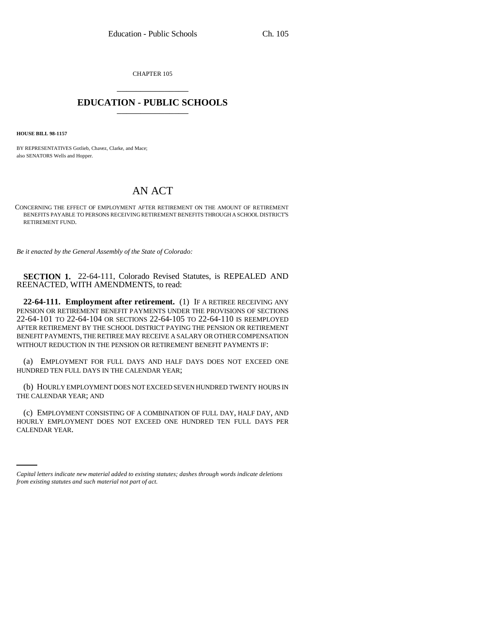CHAPTER 105 \_\_\_\_\_\_\_\_\_\_\_\_\_\_\_

## **EDUCATION - PUBLIC SCHOOLS** \_\_\_\_\_\_\_\_\_\_\_\_\_\_\_

**HOUSE BILL 98-1157**

BY REPRESENTATIVES Gotlieb, Chavez, Clarke, and Mace; also SENATORS Wells and Hopper.

## AN ACT

CONCERNING THE EFFECT OF EMPLOYMENT AFTER RETIREMENT ON THE AMOUNT OF RETIREMENT BENEFITS PAYABLE TO PERSONS RECEIVING RETIREMENT BENEFITS THROUGH A SCHOOL DISTRICT'S RETIREMENT FUND.

*Be it enacted by the General Assembly of the State of Colorado:*

**SECTION 1.** 22-64-111, Colorado Revised Statutes, is REPEALED AND REENACTED, WITH AMENDMENTS, to read:

**22-64-111. Employment after retirement.** (1) IF A RETIREE RECEIVING ANY PENSION OR RETIREMENT BENEFIT PAYMENTS UNDER THE PROVISIONS OF SECTIONS 22-64-101 TO 22-64-104 OR SECTIONS 22-64-105 TO 22-64-110 IS REEMPLOYED AFTER RETIREMENT BY THE SCHOOL DISTRICT PAYING THE PENSION OR RETIREMENT BENEFIT PAYMENTS, THE RETIREE MAY RECEIVE A SALARY OR OTHER COMPENSATION WITHOUT REDUCTION IN THE PENSION OR RETIREMENT BENEFIT PAYMENTS IF:

(a) EMPLOYMENT FOR FULL DAYS AND HALF DAYS DOES NOT EXCEED ONE HUNDRED TEN FULL DAYS IN THE CALENDAR YEAR;

(b) HOURLY EMPLOYMENT DOES NOT EXCEED SEVEN HUNDRED TWENTY HOURS IN THE CALENDAR YEAR; AND

HOURLY EMPLOYMENT DOES NOT EXCEED ONE HUNDRED TEN FULL DAYS PER (c) EMPLOYMENT CONSISTING OF A COMBINATION OF FULL DAY, HALF DAY, AND CALENDAR YEAR.

*Capital letters indicate new material added to existing statutes; dashes through words indicate deletions from existing statutes and such material not part of act.*